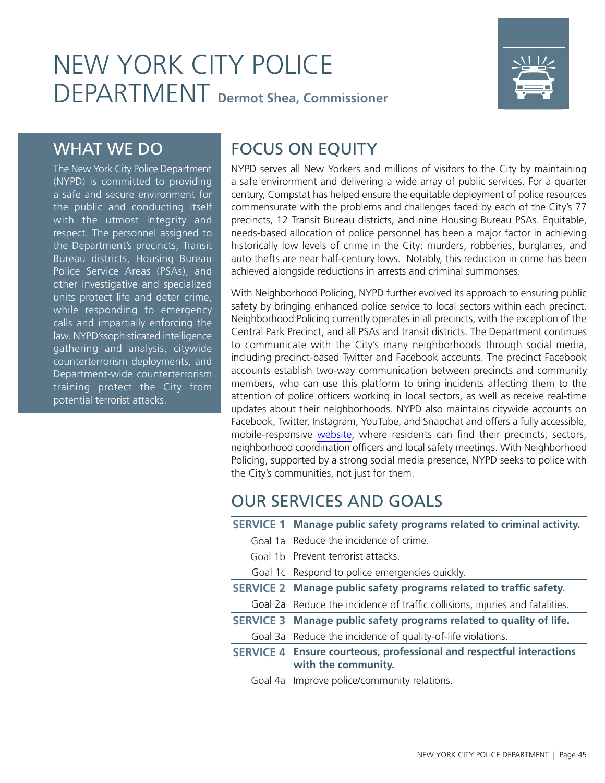

### WHAT WE DO

The New York City Police Department (NYPD) is committed to providing a safe and secure environment for the public and conducting itself with the utmost integrity and respect. The personnel assigned to the Department's precincts, Transit Bureau districts, Housing Bureau Police Service Areas (PSAs), and other investigative and specialized units protect life and deter crime, while responding to emergency calls and impartially enforcing the law. NYPD'ssophisticated intelligence gathering and analysis, citywide counterterrorism deployments, and Department-wide counterterrorism training protect the City from potential terrorist attacks.

# FOCUS ON EQUITY

NYPD serves all New Yorkers and millions of visitors to the City by maintaining a safe environment and delivering a wide array of public services. For a quarter century, Compstat has helped ensure the equitable deployment of police resources commensurate with the problems and challenges faced by each of the City's 77 precincts, 12 Transit Bureau districts, and nine Housing Bureau PSAs. Equitable, needs-based allocation of police personnel has been a major factor in achieving historically low levels of crime in the City: murders, robberies, burglaries, and auto thefts are near half-century lows. Notably, this reduction in crime has been achieved alongside reductions in arrests and criminal summonses.

With Neighborhood Policing, NYPD further evolved its approach to ensuring public safety by bringing enhanced police service to local sectors within each precinct. Neighborhood Policing currently operates in all precincts, with the exception of the Central Park Precinct, and all PSAs and transit districts. The Department continues to communicate with the City's many neighborhoods through social media, including precinct-based Twitter and Facebook accounts. The precinct Facebook accounts establish two-way communication between precincts and community members, who can use this platform to bring incidents affecting them to the attention of police officers working in local sectors, as well as receive real-time updates about their neighborhoods. NYPD also maintains citywide accounts on Facebook, Twitter, Instagram, YouTube, and Snapchat and offers a fully accessible, mobile-responsive [website](http://www.nyc.gov/nypd), where residents can find their precincts, sectors, neighborhood coordination officers and local safety meetings. With Neighborhood Policing, supported by a strong social media presence, NYPD seeks to police with the City's communities, not just for them.

### OUR SERVICES AND GOALS

- **SERVICE 1 Manage public safety programs related to criminal activity.**
	- Goal 1a Reduce the incidence of crime.
	- Goal 1b Prevent terrorist attacks.
	- Goal 1c Respond to police emergencies quickly.
- **SERVICE 2 Manage public safety programs related to traffic safety.**  Goal 2a Reduce the incidence of traffic collisions, injuries and fatalities.
- **SERVICE 3 Manage public safety programs related to quality of life.** Goal 3a Reduce the incidence of quality-of-life violations.
- **SERVICE 4 Ensure courteous, professional and respectful interactions with the community.**
	- Goal 4a Improve police/community relations.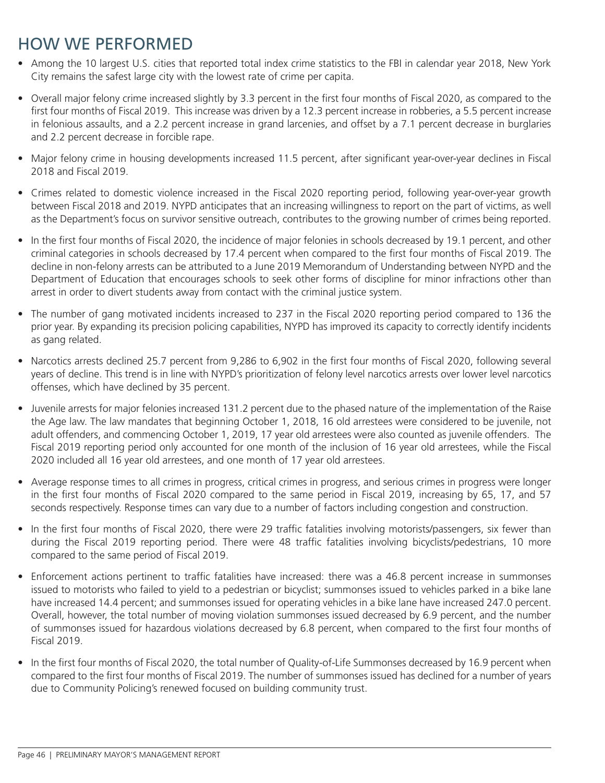### HOW WE PERFORMED

- Among the 10 largest U.S. cities that reported total index crime statistics to the FBI in calendar year 2018, New York City remains the safest large city with the lowest rate of crime per capita.
- Overall major felony crime increased slightly by 3.3 percent in the first four months of Fiscal 2020, as compared to the first four months of Fiscal 2019. This increase was driven by a 12.3 percent increase in robberies, a 5.5 percent increase in felonious assaults, and a 2.2 percent increase in grand larcenies, and offset by a 7.1 percent decrease in burglaries and 2.2 percent decrease in forcible rape.
- Major felony crime in housing developments increased 11.5 percent, after significant year-over-year declines in Fiscal 2018 and Fiscal 2019.
- Crimes related to domestic violence increased in the Fiscal 2020 reporting period, following year-over-year growth between Fiscal 2018 and 2019. NYPD anticipates that an increasing willingness to report on the part of victims, as well as the Department's focus on survivor sensitive outreach, contributes to the growing number of crimes being reported.
- In the first four months of Fiscal 2020, the incidence of major felonies in schools decreased by 19.1 percent, and other criminal categories in schools decreased by 17.4 percent when compared to the first four months of Fiscal 2019. The decline in non-felony arrests can be attributed to a June 2019 Memorandum of Understanding between NYPD and the Department of Education that encourages schools to seek other forms of discipline for minor infractions other than arrest in order to divert students away from contact with the criminal justice system.
- The number of gang motivated incidents increased to 237 in the Fiscal 2020 reporting period compared to 136 the prior year. By expanding its precision policing capabilities, NYPD has improved its capacity to correctly identify incidents as gang related.
- Narcotics arrests declined 25.7 percent from 9,286 to 6,902 in the first four months of Fiscal 2020, following several years of decline. This trend is in line with NYPD's prioritization of felony level narcotics arrests over lower level narcotics offenses, which have declined by 35 percent.
- Juvenile arrests for major felonies increased 131.2 percent due to the phased nature of the implementation of the Raise the Age law. The law mandates that beginning October 1, 2018, 16 old arrestees were considered to be juvenile, not adult offenders, and commencing October 1, 2019, 17 year old arrestees were also counted as juvenile offenders. The Fiscal 2019 reporting period only accounted for one month of the inclusion of 16 year old arrestees, while the Fiscal 2020 included all 16 year old arrestees, and one month of 17 year old arrestees.
- Average response times to all crimes in progress, critical crimes in progress, and serious crimes in progress were longer in the first four months of Fiscal 2020 compared to the same period in Fiscal 2019, increasing by 65, 17, and 57 seconds respectively. Response times can vary due to a number of factors including congestion and construction.
- In the first four months of Fiscal 2020, there were 29 traffic fatalities involving motorists/passengers, six fewer than during the Fiscal 2019 reporting period. There were 48 traffic fatalities involving bicyclists/pedestrians, 10 more compared to the same period of Fiscal 2019.
- Enforcement actions pertinent to traffic fatalities have increased: there was a 46.8 percent increase in summonses issued to motorists who failed to yield to a pedestrian or bicyclist; summonses issued to vehicles parked in a bike lane have increased 14.4 percent; and summonses issued for operating vehicles in a bike lane have increased 247.0 percent. Overall, however, the total number of moving violation summonses issued decreased by 6.9 percent, and the number of summonses issued for hazardous violations decreased by 6.8 percent, when compared to the first four months of Fiscal 2019.
- In the first four months of Fiscal 2020, the total number of Quality-of-Life Summonses decreased by 16.9 percent when compared to the first four months of Fiscal 2019. The number of summonses issued has declined for a number of years due to Community Policing's renewed focused on building community trust.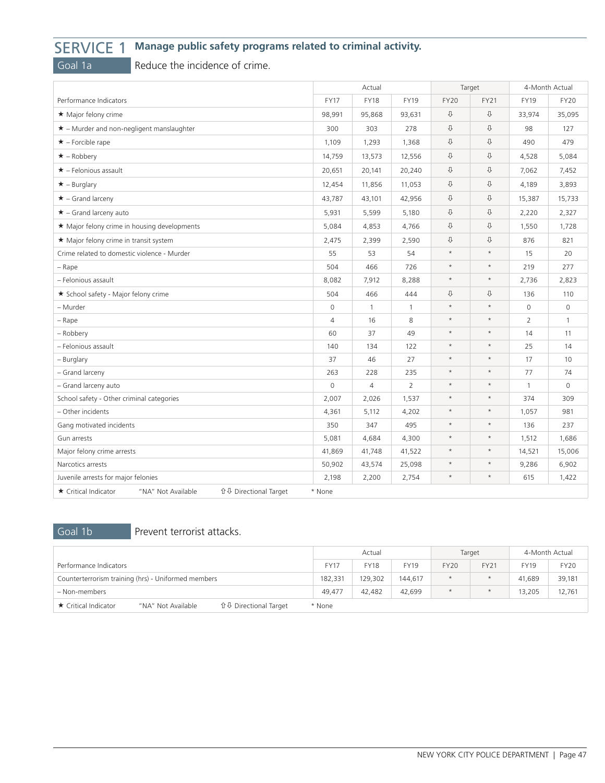### SERVICE 1 **Manage public safety programs related to criminal activity.**

Goal 1a Reduce the incidence of crime.

|                                                                                       | Actual         |              |                | Target      |             | 4-Month Actual |              |  |  |
|---------------------------------------------------------------------------------------|----------------|--------------|----------------|-------------|-------------|----------------|--------------|--|--|
| Performance Indicators                                                                | <b>FY17</b>    | <b>FY18</b>  | <b>FY19</b>    | <b>FY20</b> | <b>FY21</b> | <b>FY19</b>    | <b>FY20</b>  |  |  |
| ★ Major felony crime                                                                  | 98,991         | 95,868       | 93,631         | ⇩           | ⇩           | 33,974         | 35,095       |  |  |
| $\star$ – Murder and non-negligent manslaughter                                       | 300            | 303          | 278            | ⇩           | ⇩           | 98             | 127          |  |  |
| $\star$ – Forcible rape                                                               | 1,109          | 1,293        | 1,368          | ⇩           | ⇩           | 490            | 479          |  |  |
| $\star$ – Robbery                                                                     | 14,759         | 13,573       | 12,556         | ⇩           | ⇩           | 4,528          | 5,084        |  |  |
| $\star$ - Felonious assault                                                           | 20,651         | 20,141       | 20,240         | ⇩           | ⇩           | 7,062          | 7,452        |  |  |
| $\star$ – Burglary                                                                    | 12,454         | 11,856       | 11,053         | ⇩           | ⇩           | 4,189          | 3,893        |  |  |
| $\star$ – Grand larceny                                                               | 43,787         | 43,101       | 42,956         | ⇩           | ⇩           | 15,387         | 15,733       |  |  |
| $\star$ – Grand larceny auto                                                          | 5,931          | 5,599        | 5,180          | ⇩           | ⇩           | 2,220          | 2,327        |  |  |
| ★ Major felony crime in housing developments                                          | 5,084          | 4,853        | 4,766          | ⇩           | ⇩           | 1,550          | 1,728        |  |  |
| ★ Major felony crime in transit system                                                | 2,475          | 2,399        | 2,590          | ⇩           | ⇩           | 876            | 821          |  |  |
| Crime related to domestic violence - Murder                                           | 55             | 53           | 54             | $\star$     | $\star$     | 15             | 20           |  |  |
| - Rape                                                                                | 504            | 466          | 726            | $\star$     | $\star$     | 219            | 277          |  |  |
| - Felonious assault                                                                   | 8,082          | 7,912        | 8,288          | $\star$     | $\star$     | 2,736          | 2,823        |  |  |
| ★ School safety - Major felony crime                                                  | 504            | 466          | 444            | ⇩           | ⇩           | 136            | 110          |  |  |
| - Murder                                                                              | $\mathbf 0$    | $\mathbf{1}$ | $\mathbf{1}$   | $\star$     | $^\star$    | $\mathbf 0$    | $\Omega$     |  |  |
| - Rape                                                                                | $\overline{4}$ | 16           | 8              | $\star$     | $\star$     | $\overline{2}$ | $\mathbf{1}$ |  |  |
| - Robbery                                                                             | 60             | 37           | 49             | $\star$     | $\star$     | 14             | 11           |  |  |
| - Felonious assault                                                                   | 140            | 134          | 122            | $\star$     | $\star$     | 25             | 14           |  |  |
| - Burglary                                                                            | 37             | 46           | 27             | $\star$     | $\star$     | 17             | 10           |  |  |
| - Grand larceny                                                                       | 263            | 228          | 235            | $\star$     | $\star$     | 77             | 74           |  |  |
| - Grand larceny auto                                                                  | $\mathbf 0$    | 4            | $\overline{2}$ | $\star$     | $\star$     | $\mathbf{1}$   | $\mathbf 0$  |  |  |
| School safety - Other criminal categories                                             | 2,007          | 2,026        | 1,537          | $\star$     | $\star$     | 374            | 309          |  |  |
| - Other incidents                                                                     | 4,361          | 5,112        | 4,202          | $\star$     | $\star$     | 1,057          | 981          |  |  |
| Gang motivated incidents                                                              | 350            | 347          | 495            | $\star$     | $\star$     | 136            | 237          |  |  |
| Gun arrests                                                                           | 5,081          | 4,684        | 4,300          | $\star$     | $\star$     | 1,512          | 1,686        |  |  |
| Major felony crime arrests                                                            | 41,869         | 41,748       | 41,522         | $\star$     | $\star$     | 14,521         | 15,006       |  |  |
| Narcotics arrests                                                                     | 50,902         | 43,574       | 25,098         | $\star$     | $\star$     | 9,286          | 6,902        |  |  |
| Juvenile arrests for major felonies                                                   | 2,198          | 2,200        | 2,754          | $\star$     | $\star$     | 615            | 1,422        |  |  |
| <b>û ↓</b> Directional Target<br>★ Critical Indicator<br>"NA" Not Available<br>* None |                |              |                |             |             |                |              |  |  |

### Goal 1b Prevent terrorist attacks.

|                                                     |                    |                               |             | Actual      |             |             | Target      |             | 4-Month Actual |
|-----------------------------------------------------|--------------------|-------------------------------|-------------|-------------|-------------|-------------|-------------|-------------|----------------|
| Performance Indicators                              |                    |                               | <b>FY17</b> | <b>FY18</b> | <b>FY19</b> | <b>FY20</b> | <b>FY21</b> | <b>FY19</b> | <b>FY20</b>    |
| Counterterrorism training (hrs) - Uniformed members |                    | 182,331                       | 129,302     | 144.617     | $\star$     |             | 41.689      | 39,181      |                |
| – Non-members                                       |                    |                               | 49.477      | 42,482      | 42.699      | $\star$     |             | 13,205      | 12,761         |
| ★ Critical Indicator                                | "NA" Not Available | <b>û ↓ Directional Target</b> | * None      |             |             |             |             |             |                |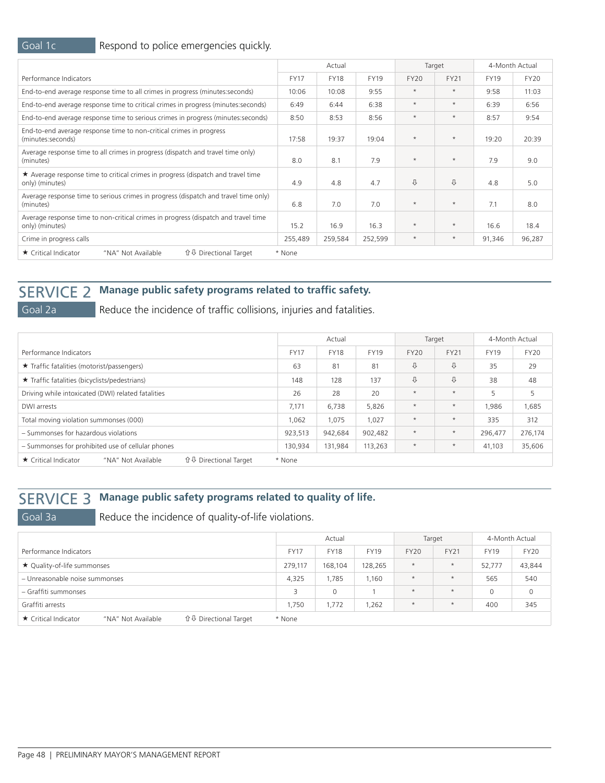Goal 1c

### Respond to police emergencies quickly.

|                                                                                                           | Actual      |             | Target      |             | 4-Month Actual |             |             |  |  |
|-----------------------------------------------------------------------------------------------------------|-------------|-------------|-------------|-------------|----------------|-------------|-------------|--|--|
| Performance Indicators                                                                                    | <b>FY17</b> | <b>FY18</b> | <b>FY19</b> | <b>FY20</b> | <b>FY21</b>    | <b>FY19</b> | <b>FY20</b> |  |  |
| End-to-end average response time to all crimes in progress (minutes: seconds)                             | 10:06       | 10:08       | 9:55        | $\star$     | $\star$        | 9:58        | 11:03       |  |  |
| End-to-end average response time to critical crimes in progress (minutes:seconds)                         | 6:49        | 6:44        | 6:38        | $\star$     | $\star$        | 6:39        | 6:56        |  |  |
| End-to-end average response time to serious crimes in progress (minutes:seconds)                          | 8:50        | 8:53        | 8:56        | $\star$     | $\star$        | 8:57        | 9:54        |  |  |
| End-to-end average response time to non-critical crimes in progress<br>(minutes:seconds)                  | 17:58       | 19:37       | 19:04       | $\star$     | $\star$        | 19:20       | 20:39       |  |  |
| Average response time to all crimes in progress (dispatch and travel time only)<br>(minutes)              | 8.0         | 8.1         | 7.9         | $\star$     | $\star$        | 7.9         | 9.0         |  |  |
| $\star$ Average response time to critical crimes in progress (dispatch and travel time<br>only) (minutes) |             | 4.8         | 4.7         | ⇩           | ⇩              | 4.8         | 5.0         |  |  |
| Average response time to serious crimes in progress (dispatch and travel time only)<br>(minutes)          |             | 7.0         | 7.0         | $\star$     | $\star$        | 7.1         | 8.0         |  |  |
| Average response time to non-critical crimes in progress (dispatch and travel time<br>only) (minutes)     |             | 16.9        | 16.3        | $\star$     | $\star$        | 16.6        | 18.4        |  |  |
| Crime in progress calls                                                                                   | 255,489     | 259,584     | 252,599     | $\star$     | $\star$        | 91,346      | 96,287      |  |  |
| ★ Critical Indicator<br><b>û ↓ Directional Target</b><br>"NA" Not Available<br>* None                     |             |             |             |             |                |             |             |  |  |

### Manage public safety programs related to traffic safety. **SERVICE 2**

Goal 2a

Reduce the incidence of traffic collisions, injuries and fatalities.

|                                                                                             | Actual      |             |             | Target      |         | 4-Month Actual |             |  |  |
|---------------------------------------------------------------------------------------------|-------------|-------------|-------------|-------------|---------|----------------|-------------|--|--|
| Performance Indicators                                                                      | <b>FY17</b> | <b>FY18</b> | <b>FY19</b> | <b>FY20</b> | FY21    | <b>FY19</b>    | <b>FY20</b> |  |  |
| ★ Traffic fatalities (motorist/passengers)                                                  | 63          | 81          | 81          | ⇩           | ⇩       | 35             | 29          |  |  |
| ★ Traffic fatalities (bicyclists/pedestrians)                                               | 148         | 128         | 137         | ⇩           | ⇩       | 38             | 48          |  |  |
| Driving while intoxicated (DWI) related fatalities                                          | 26          | 28          | 20          | $\star$     | $\star$ | 5              | 5           |  |  |
| DWI arrests                                                                                 |             | 6,738       | 5,826       | $\star$     | $\star$ | 1,986          | 1,685       |  |  |
| Total moving violation summonses (000)                                                      | 1,062       | 1,075       | 1,027       | $\star$     | $\star$ | 335            | 312         |  |  |
| - Summonses for hazardous violations                                                        |             | 942,684     | 902,482     | $\star$     | $\star$ | 296.477        | 276,174     |  |  |
| - Summonses for prohibited use of cellular phones                                           |             | 131,984     | 113,263     | $\star$     | $\star$ | 41,103         | 35,606      |  |  |
| <b>û ↓ Directional Target</b><br>$\star$ Critical Indicator<br>"NA" Not Available<br>* None |             |             |             |             |         |                |             |  |  |

### Manage public safety programs related to quality of life. **SERVICE 3**

Goal 3a

Reduce the incidence of quality-of-life violations.

|                                                                             | Actual      |             |             | Target      |             | 4-Month Actual |             |
|-----------------------------------------------------------------------------|-------------|-------------|-------------|-------------|-------------|----------------|-------------|
| Performance Indicators                                                      | <b>FY17</b> | <b>FY18</b> | <b>FY19</b> | <b>FY20</b> | <b>FY21</b> | <b>FY19</b>    | <b>FY20</b> |
| ★ Quality-of-life summonses                                                 | 279,117     | 168,104     | 128,265     | $\star$     | $\star$     | 52,777         | 43,844      |
| - Unreasonable noise summonses                                              | 4,325       | 1,785       | 1,160       | $\star$     | $\star$     | 565            | 540         |
| - Graffiti summonses                                                        |             | 0           |             | $\star$     | $\star$     | 0              | 0           |
| Graffiti arrests                                                            | 1,750       | 1,772       | .262        | $\star$     | $\star$     | 400            | 345         |
| <b>û ↓ Directional Target</b><br>★ Critical Indicator<br>"NA" Not Available | * None      |             |             |             |             |                |             |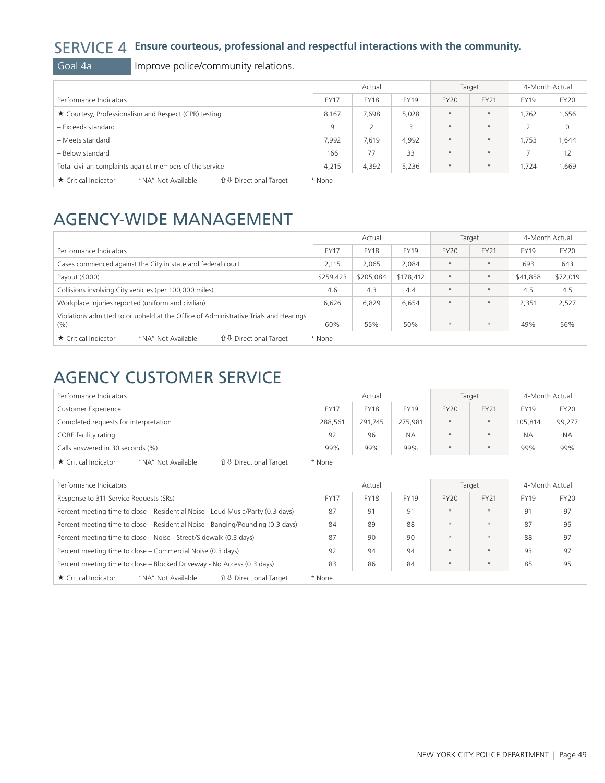### SERVICE 4 **Ensure courteous, professional and respectful interactions with the community.**

Goal 4a Improve police/community relations.

|                                                                                       | Actual      |             |             | Target      |             | 4-Month Actual |             |  |  |
|---------------------------------------------------------------------------------------|-------------|-------------|-------------|-------------|-------------|----------------|-------------|--|--|
| Performance Indicators                                                                | <b>FY17</b> | <b>FY18</b> | <b>FY19</b> | <b>FY20</b> | <b>FY21</b> | <b>FY19</b>    | <b>FY20</b> |  |  |
| ★ Courtesy, Professionalism and Respect (CPR) testing                                 | 8,167       | 7,698       | 5,028       | $\star$     | $\star$     | 1.762          | 1,656       |  |  |
| - Exceeds standard                                                                    | 9           |             | 3           | $\star$     | $\star$     |                | 0           |  |  |
| - Meets standard                                                                      |             | 7,619       | 4,992       | $\star$     | $\star$     | 1,753          | 1,644       |  |  |
| - Below standard                                                                      | 166         | 77          | 33          | $\star$     | $\star$     |                | 12          |  |  |
| Total civilian complaints against members of the service                              |             | 4,392       | 5,236       | $\star$     | $\star$     | 1,724          | 1,669       |  |  |
| <b>û ↓ Directional Target</b><br>★ Critical Indicator<br>"NA" Not Available<br>* None |             |             |             |             |             |                |             |  |  |

### AGENCY-WIDE MANAGEMENT

|                                                                                             | Actual      |             |             | Target      |             | 4-Month Actual |             |  |  |
|---------------------------------------------------------------------------------------------|-------------|-------------|-------------|-------------|-------------|----------------|-------------|--|--|
| Performance Indicators                                                                      | <b>FY17</b> | <b>FY18</b> | <b>FY19</b> | <b>FY20</b> | <b>FY21</b> | <b>FY19</b>    | <b>FY20</b> |  |  |
| Cases commenced against the City in state and federal court                                 | 2,115       | 2,065       | 2,084       | $\star$     | $\star$     | 693            | 643         |  |  |
| Payout (\$000)                                                                              | \$259,423   | \$205,084   | \$178,412   | $\star$     | $\star$     | \$41,858       | \$72,019    |  |  |
| Collisions involving City vehicles (per 100,000 miles)                                      |             | 4.3         | 4.4         | $\star$     | $\star$     | 4.5            | 4.5         |  |  |
| Workplace injuries reported (uniform and civilian)                                          | 6,626       | 6,829       | 6,654       | $\star$     | $\star$     | 2,351          | 2,527       |  |  |
| Violations admitted to or upheld at the Office of Administrative Trials and Hearings<br>(%) |             | 55%         | 50%         | $\star$     | $\star$     | 49%            | 56%         |  |  |
| <b>û ↓</b> Directional Target<br>$\star$ Critical Indicator<br>"NA" Not Available<br>* None |             |             |             |             |             |                |             |  |  |

### AGENCY CUSTOMER SERVICE

| Performance Indicators                                                      | Actual      |             | Target      |             | 4-Month Actual |             |             |
|-----------------------------------------------------------------------------|-------------|-------------|-------------|-------------|----------------|-------------|-------------|
| <b>Customer Experience</b>                                                  | <b>FY17</b> | <b>FY18</b> | <b>FY19</b> | <b>FY20</b> | <b>FY21</b>    | <b>FY19</b> | <b>FY20</b> |
| Completed requests for interpretation                                       | 288,561     | 291.745     | 275,981     | $\star$     | $\star$        | 105,814     | 99,277      |
| CORE facility rating                                                        | 92          | 96          | <b>NA</b>   | $\star$     | $\star$        | <b>NA</b>   | <b>NA</b>   |
| Calls answered in 30 seconds (%)                                            | 99%         | 99%         | 99%         | $\star$     |                | 99%         | 99%         |
| <b>û ↓ Directional Target</b><br>★ Critical Indicator<br>"NA" Not Available | * None      |             |             |             |                |             |             |

| Performance Indicators                                                                      | Actual      |             | Target      |             | 4-Month Actual |             |      |  |
|---------------------------------------------------------------------------------------------|-------------|-------------|-------------|-------------|----------------|-------------|------|--|
| Response to 311 Service Requests (SRs)                                                      | <b>FY17</b> | <b>FY18</b> | <b>FY19</b> | <b>FY20</b> | <b>FY21</b>    | <b>FY19</b> | FY20 |  |
| Percent meeting time to close – Residential Noise - Loud Music/Party (0.3 days)             | 87          | 91          | 91          | $\star$     | $\star$        | 91          | 97   |  |
| Percent meeting time to close – Residential Noise - Banging/Pounding (0.3 days)             | 84          | 89          | 88          | $\star$     | $\star$        | 87          | 95   |  |
| Percent meeting time to close – Noise - Street/Sidewalk (0.3 days)                          | 87          | 90          | 90          | $\star$     | $\star$        | 88          | 97   |  |
| Percent meeting time to close – Commercial Noise (0.3 days)                                 | 92          | 94          | 94          | $\star$     | $\star$        | 93          | 97   |  |
| Percent meeting time to close – Blocked Driveway - No Access (0.3 days)                     | 83          | 86          | 84          | $\star$     | $\star$        | 85          | 95   |  |
| <b>û ↓ Directional Target</b><br>"NA" Not Available<br>$\star$ Critical Indicator<br>* None |             |             |             |             |                |             |      |  |